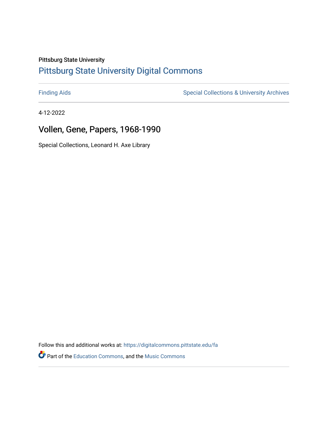## Pittsburg State University

# [Pittsburg State University Digital Commons](https://digitalcommons.pittstate.edu/)

[Finding Aids](https://digitalcommons.pittstate.edu/fa) **Special Collections & University Archives** Special Collections & University Archives

4-12-2022

# Vollen, Gene, Papers, 1968-1990

Special Collections, Leonard H. Axe Library

Follow this and additional works at: [https://digitalcommons.pittstate.edu/fa](https://digitalcommons.pittstate.edu/fa?utm_source=digitalcommons.pittstate.edu%2Ffa%2F400&utm_medium=PDF&utm_campaign=PDFCoverPages) 

**P** Part of the [Education Commons](http://network.bepress.com/hgg/discipline/784?utm_source=digitalcommons.pittstate.edu%2Ffa%2F400&utm_medium=PDF&utm_campaign=PDFCoverPages), and the Music Commons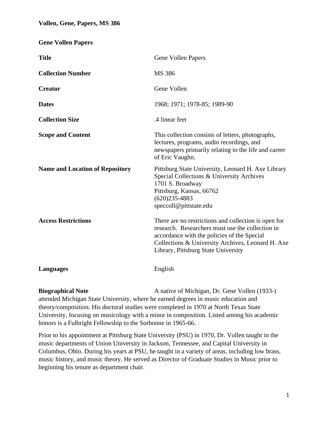**Gene Vollen Papers**

| <b>Title</b>                           | Gene Vollen Papers                                                                                                                                                                                                                                  |
|----------------------------------------|-----------------------------------------------------------------------------------------------------------------------------------------------------------------------------------------------------------------------------------------------------|
| <b>Collection Number</b>               | MS 386                                                                                                                                                                                                                                              |
| <b>Creator</b>                         | Gene Vollen                                                                                                                                                                                                                                         |
| <b>Dates</b>                           | 1968; 1971; 1978-85; 1989-90                                                                                                                                                                                                                        |
| <b>Collection Size</b>                 | .4 linear feet                                                                                                                                                                                                                                      |
| <b>Scope and Content</b>               | This collection consists of letters, photographs,<br>lectures, programs, audio recordings, and<br>newspapers primarily relating to the life and career<br>of Eric Vaughn.                                                                           |
| <b>Name and Location of Repository</b> | Pittsburg State University, Leonard H. Axe Library<br>Special Collections & University Archives<br>1701 S. Broadway<br>Pittsburg, Kansas, 66762<br>$(620)$ 235-4883<br>speccoll@pittstate.edu                                                       |
| <b>Access Restrictions</b>             | There are no restrictions and collection is open for<br>research. Researchers must use the collection in<br>accordance with the policies of the Special<br>Collections & University Archives, Leonard H. Axe<br>Library, Pittsburg State University |
| <b>Languages</b>                       | English                                                                                                                                                                                                                                             |
|                                        |                                                                                                                                                                                                                                                     |

**Biographical Note** A native of Michigan, Dr. Gene Vollen (1933-) attended Michigan State University, where he earned degrees in music education and theory/composition. His doctoral studies were completed in 1970 at North Texas State University, focusing on musicology with a minor in composition. Listed among his academic honors is a Fulbright Fellowship to the Sorbonne in 1965-66.

Prior to his appointment at Pittsburg State University (PSU) in 1970, Dr. Vollen taught in the music departments of Union University in Jackson, Tennessee, and Capital University in Columbus, Ohio. During his years at PSU, he taught in a variety of areas, including low brass, music history, and music theory. He served as Director of Graduate Studies in Music prior to beginning his tenure as department chair.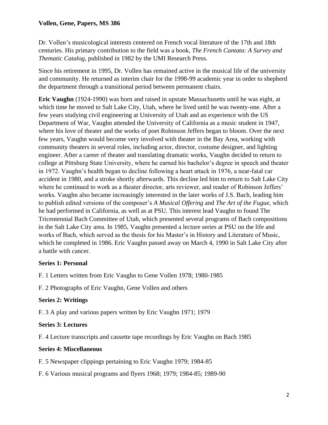#### **Vollen, Gene, Papers, MS 386**

Dr. Vollen's musicological interests centered on French vocal literature of the 17th and 18th centuries. His primary contribution to the field was a book, *The French Cantata: A Survey and Thematic Catalog*, published in 1982 by the UMI Research Press.

Since his retirement in 1995, Dr. Vollen has remained active in the musical life of the university and community. He returned as interim chair for the 1998-99 academic year in order to shepherd the department through a transitional period between permanent chairs.

**Eric Vaughn** (1924-1990) was born and raised in upstate Massachusetts until he was eight, at which time he moved to Salt Lake City, Utah, where he lived until he was twenty-one. After a few years studying civil engineering at University of Utah and an experience with the US Department of War, Vaughn attended the University of California as a music student in 1947, where his love of theater and the works of poet Robinson Jeffers began to bloom. Over the next few years, Vaughn would become very involved with theater in the Bay Area, working with community theaters in several roles, including actor, director, costume designer, and lighting engineer. After a career of theater and translating dramatic works, Vaughn decided to return to college at Pittsburg State University, where he earned his bachelor's degree in speech and theater in 1972. Vaughn's health began to decline following a heart attack in 1976, a near-fatal car accident in 1980, and a stroke shortly afterwards. This decline led him to return to Salt Lake City where he continued to work as a theater director, arts reviewer, and reader of Robinson Jeffers' works. Vaughn also became increasingly interested in the later works of J.S. Bach, leading him to publish edited versions of the composer's *A Musical Offering* and *The Art of the Fugue*, which he had performed in California, as well as at PSU. This interest lead Vaughn to found The Tricentennial Bach Committee of Utah, which presented several programs of Bach compositions in the Salt Lake City area. In 1985, Vaughn presented a lecture series at PSU on the life and works of Bach, which served as the thesis for his Master's in History and Literature of Music, which he completed in 1986. Eric Vaughn passed away on March 4, 1990 in Salt Lake City after a battle with cancer.

### **Series 1: Personal**

F. 1 Letters written from Eric Vaughn to Gene Vollen 1978; 1980-1985

F. 2 Photographs of Eric Vaughn, Gene Vollen and others

### **Series 2: Writings**

F. 3 A play and various papers written by Eric Vaughn 1971; 1979

#### **Series 3: Lectures**

F. 4 Lecture transcripts and cassette tape recordings by Eric Vaughn on Bach 1985

#### **Series 4: Miscellaneous**

F. 5 Newspaper clippings pertaining to Eric Vaughn 1979; 1984-85

F. 6 Various musical programs and flyers 1968; 1979; 1984-85; 1989-90